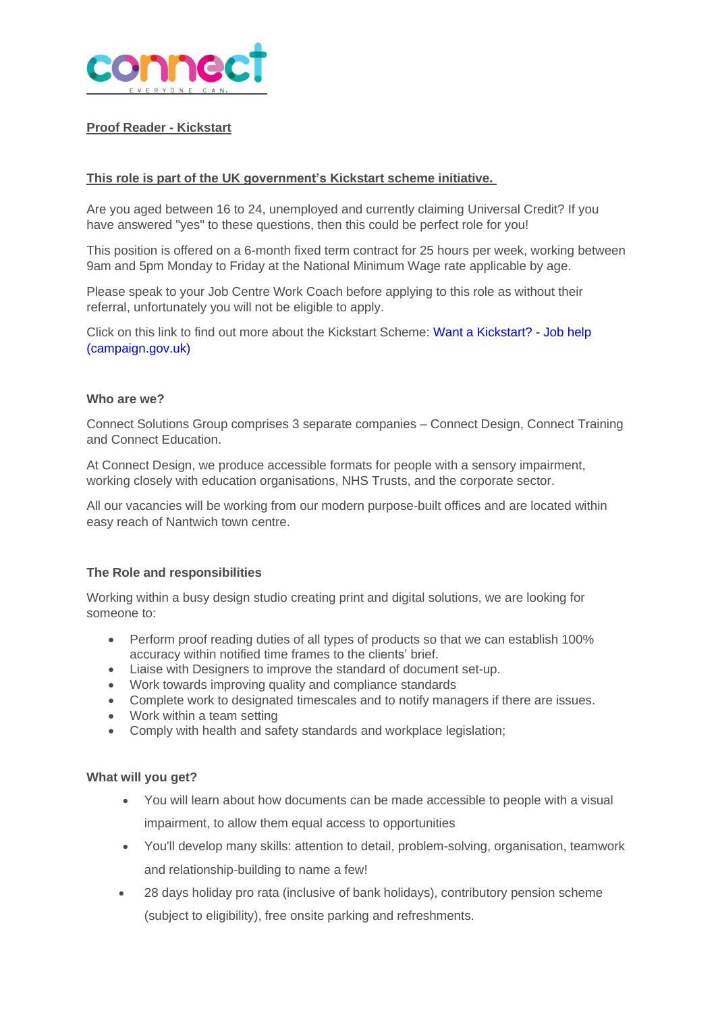

# **Proof Reader - Kickstart**

### **This role is part of the UK government's Kickstart scheme initiative.**

Are you aged between 16 to 24, unemployed and currently claiming Universal Credit? If you have answered "yes" to these questions, then this could be perfect role for you!

This position is offered on a 6-month fixed term contract for 25 hours per week, working between 9am and 5pm Monday to Friday at the National Minimum Wage rate applicable by age.

Please speak to your Job Centre Work Coach before applying to this role as without their referral, unfortunately you will not be eligible to apply.

Click on this link to find out more about the Kickstart Scheme: Want a [Kickstart?](https://jobhelp.campaign.gov.uk/kickstart/) - Job help [\(campaign.gov.uk\)](https://jobhelp.campaign.gov.uk/kickstart/)

#### **Who are we?**

Connect Solutions Group comprises 3 separate companies – Connect Design, Connect Training and Connect Education.

At Connect Design, we produce accessible formats for people with a sensory impairment, working closely with education organisations, NHS Trusts, and the corporate sector.

All our vacancies will be working from our modern purpose-built offices and are located within easy reach of Nantwich town centre.

#### **The Role and responsibilities**

Working within a busy design studio creating print and digital solutions, we are looking for someone to:

- Perform proof reading duties of all types of products so that we can establish 100% accuracy within notified time frames to the clients' brief.
- Liaise with Designers to improve the standard of document set-up.
- Work towards improving quality and compliance standards
- Complete work to designated timescales and to notify managers if there are issues.
- Work within a team setting
- Comply with health and safety standards and workplace legislation;

#### **What will you get?**

- You will learn about how documents can be made accessible to people with a visual impairment, to allow them equal access to opportunities
- You'll develop many skills: attention to detail, problem-solving, organisation, teamwork and relationship-building to name a few!
- 28 days holiday pro rata (inclusive of bank holidays), contributory pension scheme (subject to eligibility), free onsite parking and refreshments.